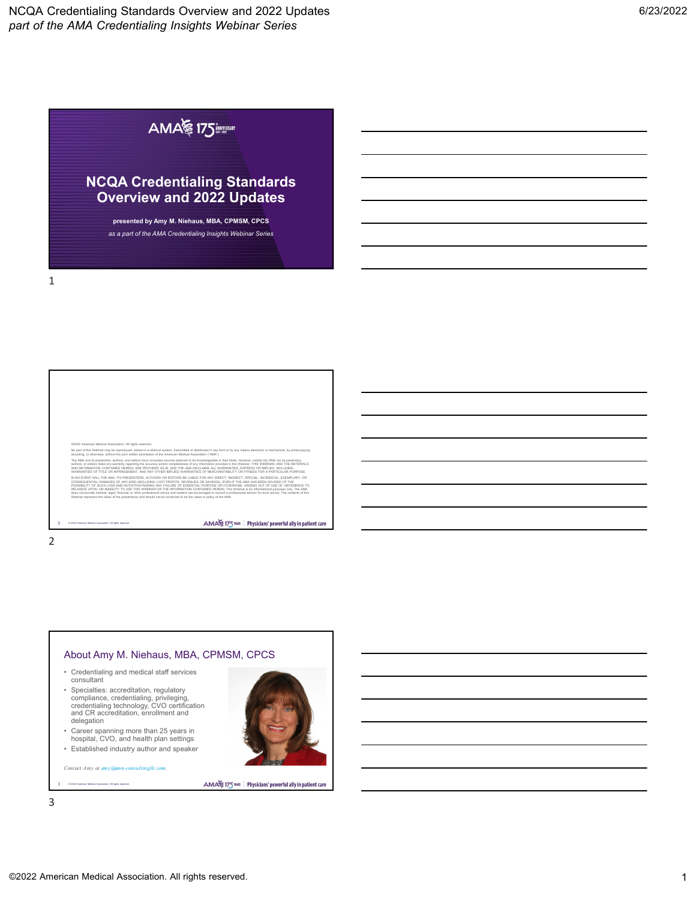# AMA 175

# **NCQA Credentialing Standards Overview and 2022 Updates**

**presented by Amy M. Niehaus, MBA, CPMSM, CPCS** *as a part of the AMA Credentialing Insights Webinar Series*

1

©2022 American Medical Association. All rights reserved. No part of this Webinar may be reproduced, stored in a retrieval system, transmitted or distributed in any form or by any means electronic or mechanical, by photocopying,<br>recording, or otherwise, without the prior written The AMA and its presenters, authors, and editors have consulted sources believed to be knowledgeable in their fields. However, neither the AMA nor its presenters, authors, or editors make any warranty regarding the accuracy and/or completeness of any information provided in this WEBINAR, AND THE MATERIALS<br>AND INFORMATION CONTAINED HEREIN, ARE PROVIDED AS-16, AND THE AMA DISCLAMS ALL IN NO EVENT WILL THE AMA, ITS PRESENTERS, AUTHORS OR EDITORS BE LIABLE FOR ANY DIRECT, INDIRECT, SPECIAL, INCIDENTAL, EXEMPLARY, OR<br>CONSEQUENTIAL DAMAGES OF ANY KIND (INCLUDING LOST PROFITS, REVENUES OR SAVINGS), EVEN IF T RELIANCE UPON, OR INABILITY TO USE THIS WEBINAR OR THE INFORMATION CONTAINED HEREIN. This Webinar is for informational purposes only. The AMA<br>does not provide medical, legal, financial, or other professional advice and rea Webinar represent the views of the presenter(s) and should not be construed to be the views or policy of the AMA. AMA 175 THIS | Physicians' powerful ally in patient care 2 © 2022 American Medical Association. All rights reserved.

## 2

## About Amy M. Niehaus, MBA, CPMSM, CPCS

- Credentialing and medical staff services consultant
- Specialties: accreditation, regulatory compliance, credentialing, privileging, credentialing technology, CVO certification and CR accreditation, enrollment and delegation
- Career spanning more than 25 years in hospital, CVO, and health plan settings
- Established industry author and speaker

*Contact Amy at [amy@amn-consultingllc.com.](mailto:amy@amn-consultingllc.com)*

.<br>3 Nedical Association. All rights

AMA 175 THIS | Physicians' powerful ally in patient care



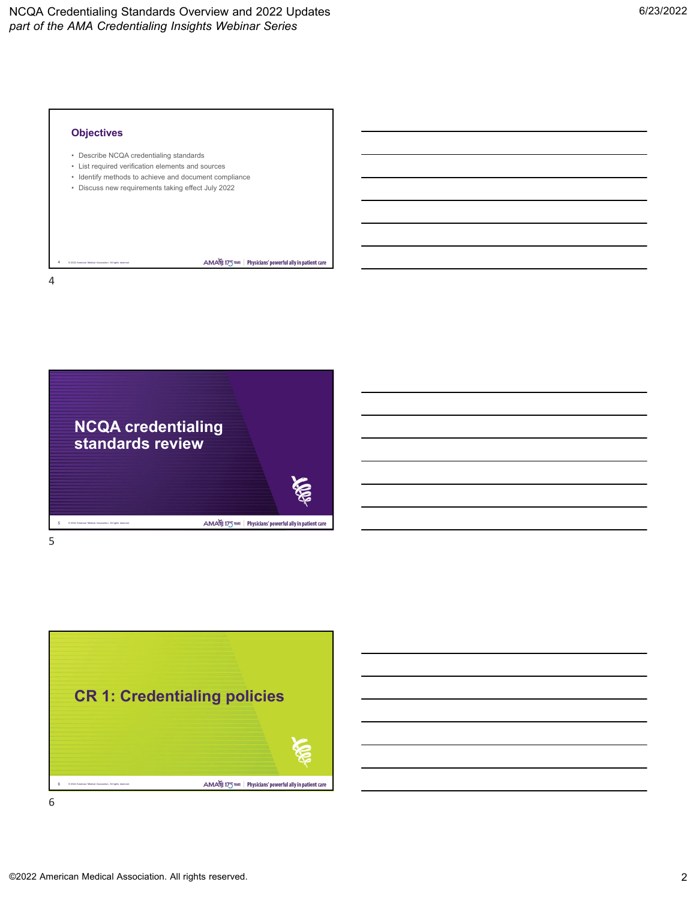



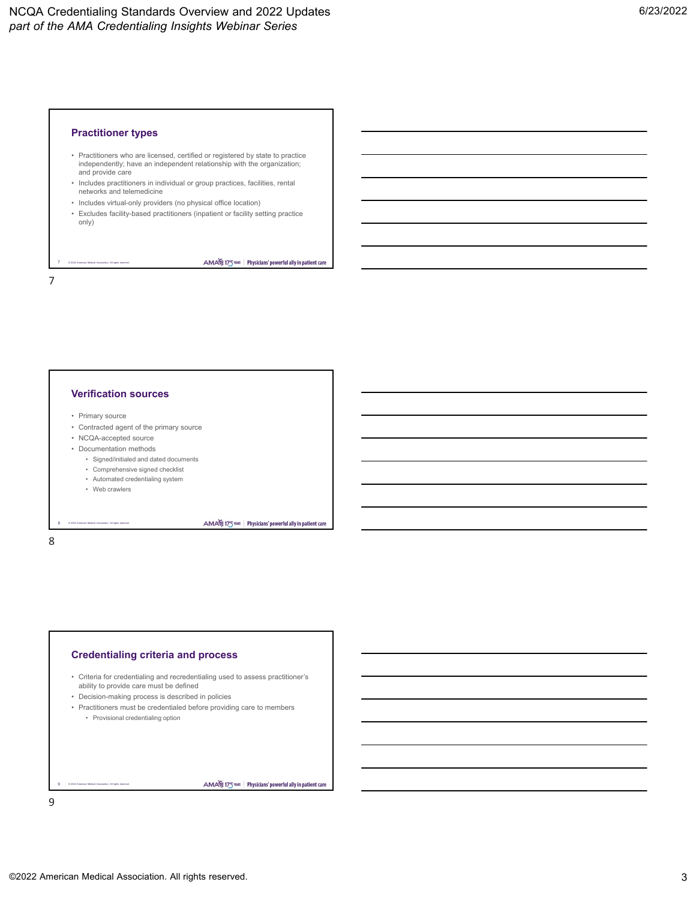

- Practitioners who are licensed, certified or registered by state to practice independently; have an independent relationship with the organization; and provide care
- Includes practitioners in individual or group practices, facilities, rental networks and telemedicine
- Includes virtual-only providers (no physical office location)
- Excludes facility-based practitioners (inpatient or facility setting practice only)

AMA 175 TELE Physicians' powerful ally in patient care

AMA 175 THIS | Physicians' powerful ally in patient care

7

# **Verification sources**

• Primary source

© 2022 American Medical Association. All rights reserved.

- Contracted agent of the primary source
- NCQA-accepted source
- Documentation methods
	- Signed/initialed and dated documents
	- Comprehensive signed checklist • Automated credentialing system
	- Web crawlers
	-

© 2022 American Medical Association. All rights reserved.

8 8

# **Credentialing criteria and process**

- Criteria for credentialing and recredentialing used to assess practitioner's ability to provide care must be defined
- Decision-making process is described in policies
- Practitioners must be credentialed before providing care to members • Provisional credentialing option

© 2022 American Medical Association. All rights reserved. 9

AMA 175 TELE Physicians' powerful ally in patient care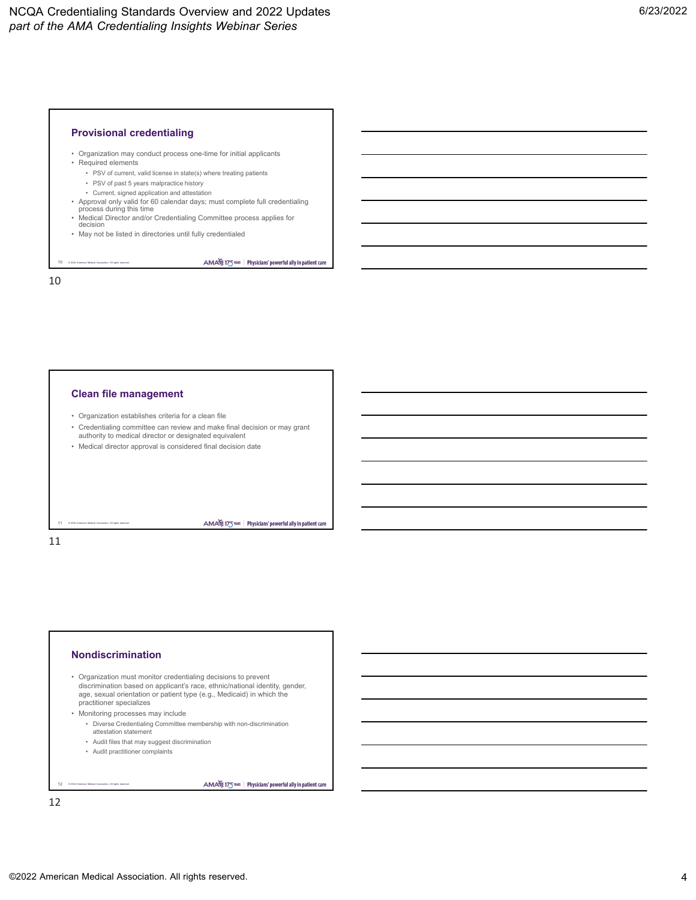## **Provisional credentialing**

- Organization may conduct process one-time for initial applicants
- Required elements
	- PSV of current, valid license in state(s) where treating patients
	- PSV of past 5 years malpractice history
	- Current, signed application and attestation
- Approval only valid for 60 calendar days; must complete full credentialing process during this time

AMA 175 TELE Physicians' powerful ally in patient care

AMA 175 THE Physicians' powerful ally in patient care

- Medical Director and/or Credentialing Committee process applies for decision
- May not be listed in directories until fully credentialed

© 2022 American Medical Association. All rights reserved. 10

10

#### **Clean file management**

- Organization establishes criteria for a clean file
- Credentialing committee can review and make final decision or may grant authority to medical director or designated equivalent
- Medical director approval is considered final decision date

11 11

#### **Nondiscrimination**

© 2022 American Medical Association. All rights reserved.

• Organization must monitor credentialing decisions to prevent discrimination based on applicant's race, ethnic/national identity, gender, age, sexual orientation or patient type (e.g., Medicaid) in which the practitioner specializes

• Monitoring processes may include

- Diverse Credentialing Committee membership with non-discrimination attestation statement
- Audit files that may suggest discrimination
- Audit practitioner complaints

© 2022 American Medical Association. All rights reserved. 12

AMA 175 TELE Physicians' powerful ally in patient care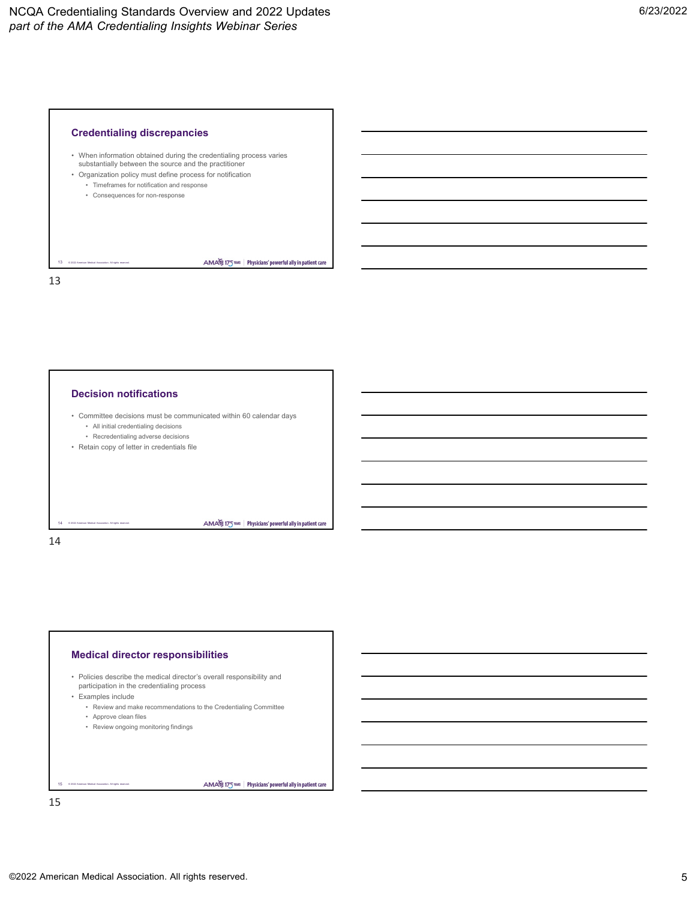

• When information obtained during the credentialing process varies substantially between the source and the practitioner

AMA 175 TELE Physicians' powerful ally in patient care

AMA 175 THIS | Physicians' powerful ally in patient care

- Organization policy must define process for notification
	- Timeframes for notification and response • Consequences for non-response

13 13 © 2022 American Medical Association. All rights reserved.

# **Decision notifications**

- Committee decisions must be communicated within 60 calendar days • All initial credentialing decisions
	- Recredentialing adverse decisions
- Retain copy of letter in credentials file

14 14

## **Medical director responsibilities**

- Policies describe the medical director's overall responsibility and participation in the credentialing process
- Examples include

© 2022 American Medical Association. All rights reserved.

- Review and make recommendations to the Credentialing Committee
- Approve clean files • Review ongoing monitoring findings

© 2022 American Medical Association. All rights reserved. 15

AMA 175 THIS | Physicians' powerful ally in patient care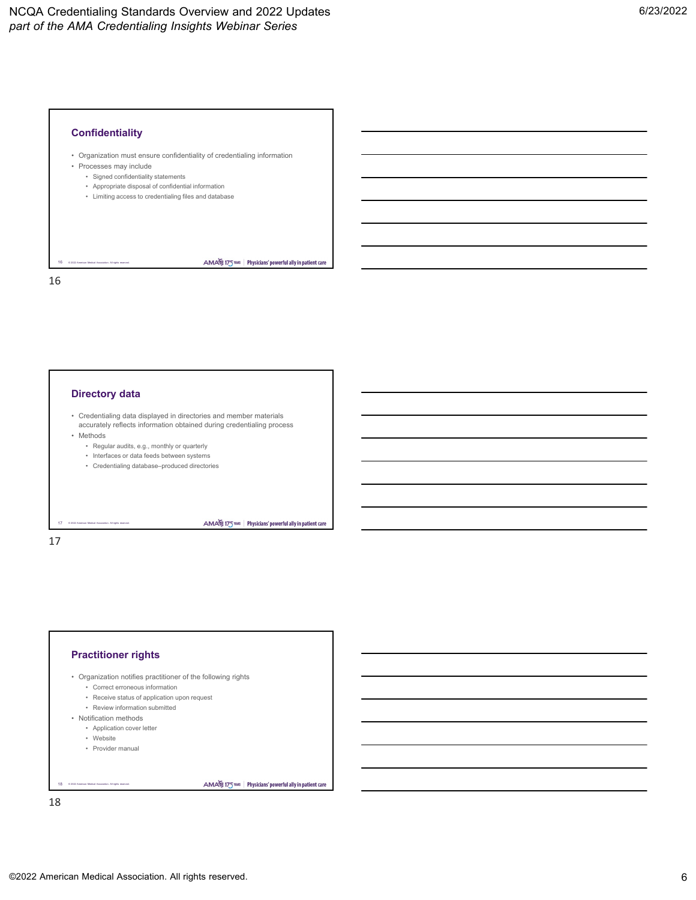

• Organization must ensure confidentiality of credentialing information

AMA 175 TELE Physicians' powerful ally in patient care

AMA 175 THIS | Physicians' powerful ally in patient care

AMA 175 THIS | Physicians' powerful ally in patient care

- Processes may include
	- Signed confidentiality statements
	- Appropriate disposal of confidential information
	- Limiting access to credentialing files and database

© 2022 American Medical Association. All rights reserved. 16

16

**Directory data**

- Credentialing data displayed in directories and member materials accurately reflects information obtained during credentialing process
- Methods
	- Regular audits, e.g., monthly or quarterly
	- Interfaces or data feeds between systems
	- Credentialing database–produced directories

© 2022 American Medical Association. All rights reserved. 17

17

# **Practitioner rights** • Organization notifies practitioner of the following rights • Correct erroneous information

- Receive status of application upon request
- Review information submitted
- Notification methods
	- Application cover letter
	- Website
	- Provider manual

© 2022 American Medical Association. All rights reserved. 18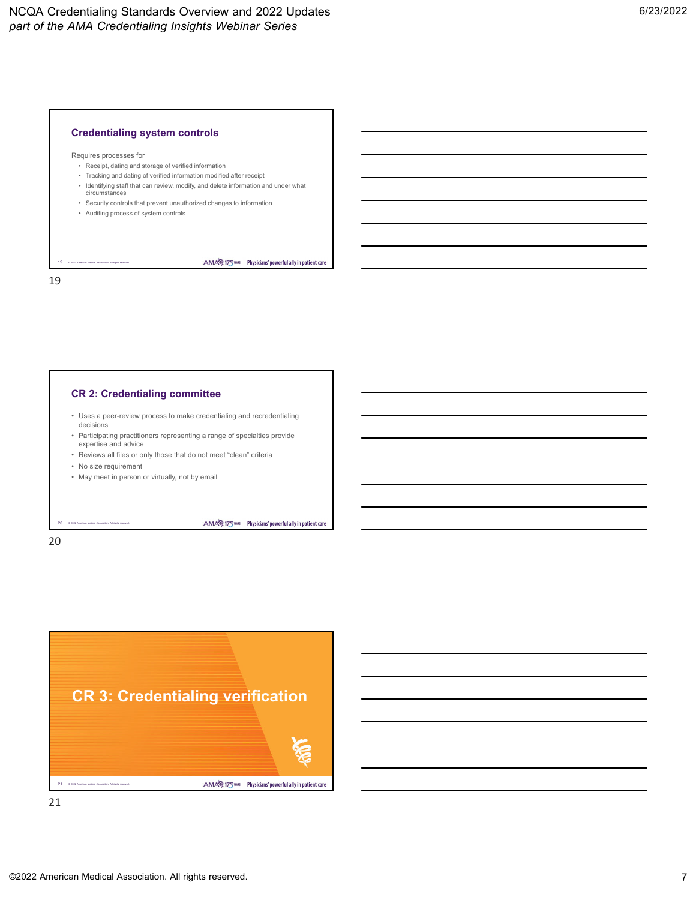## **Credentialing system controls**

Requires processes for

- Receipt, dating and storage of verified information
- Tracking and dating of verified information modified after receipt
- Identifying staff that can review, modify, and delete information and under what circumstances

AMA 175 THE Physicians' powerful ally in patient care

- Security controls that prevent unauthorized changes to information
- Auditing process of system controls

© 2022 American Medical Association. All rights reserved. 19

19

# **CR 2: Credentialing committee**

- Uses a peer-review process to make credentialing and recredentialing decisions
- Participating practitioners representing a range of specialties provide expertise and advice
- Reviews all files or only those that do not meet "clean" criteria
- No size requirement

© 2022 American Medical Association. All rights reserved.

• May meet in person or virtually, not by email

AMA 175 THIS | Physicians' powerful ally in patient care

20

20

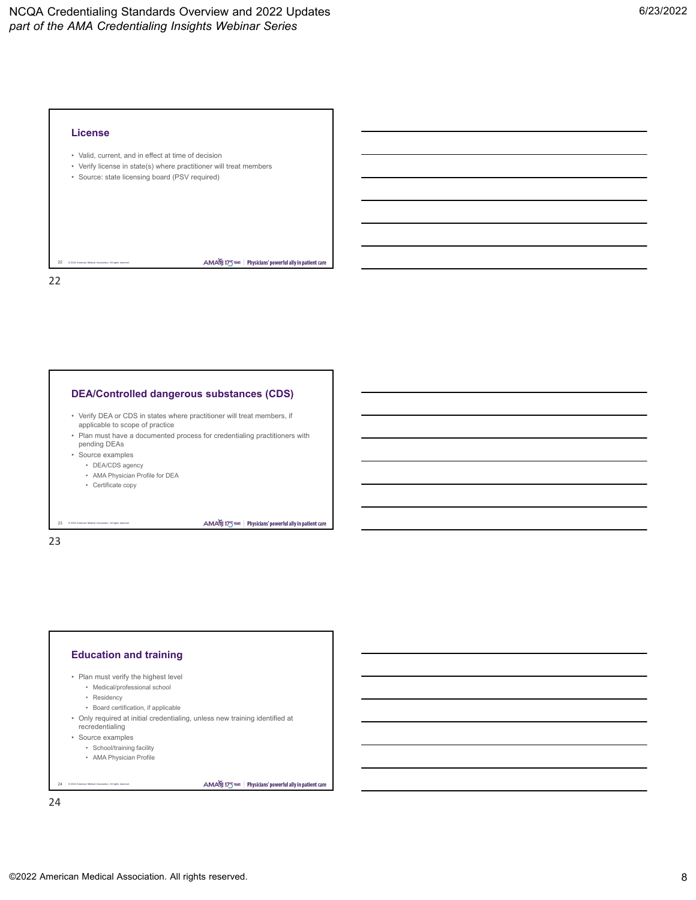

#### **DEA/Controlled dangerous substances (CDS)**

- Verify DEA or CDS in states where practitioner will treat members, if applicable to scope of practice
- Plan must have a documented process for credentialing practitioners with pending DEAs
- Source examples
- DEA/CDS agency
- AMA Physician Profile for DEA
- Certificate copy

© 2022 American Medical Association. All rights reserved.

23

# 23

# **Education and training**

- Plan must verify the highest level
	- Medical/professional school • Residency
	-
	- Board certification, if applicable
- Only required at initial credentialing, unless new training identified at recredentialing
- Source examples

© 2022 American Medical Association. All rights reserved.

- School/training facility
- AMA Physician Profile

#### AMA 175 THIS | Physicians' powerful ally in patient care

AMA 175 THIS | Physicians' powerful ally in patient care

24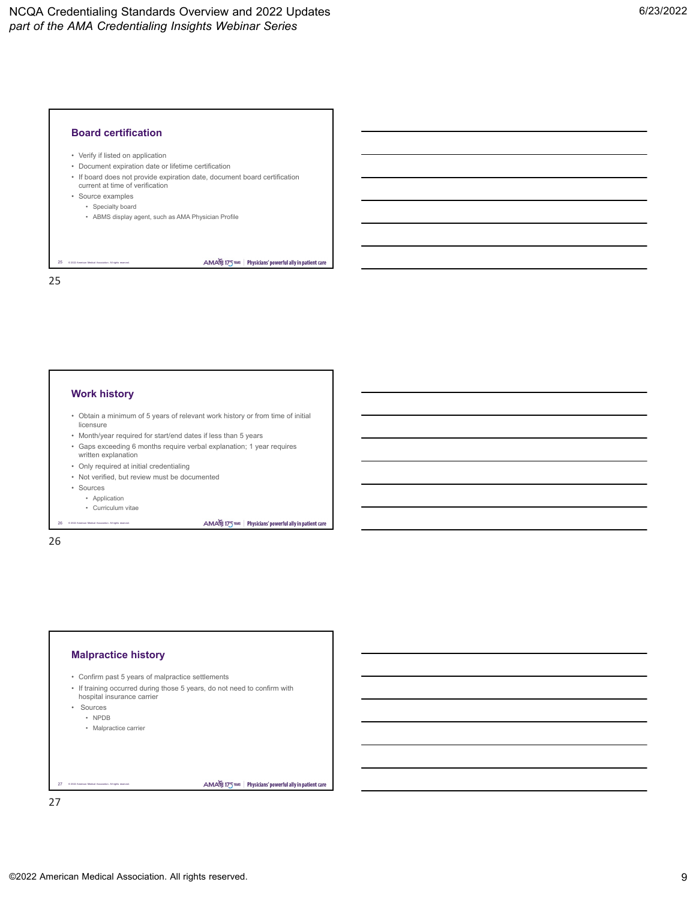

- Verify if listed on application
- Document expiration date or lifetime certification
- If board does not provide expiration date, document board certification current at time of verification
- Source examples

© 2022 American Medical Association. All rights reserved.

- Specialty board
- ABMS display agent, such as AMA Physician Profile

25

#### **Work history**

- Obtain a minimum of 5 years of relevant work history or from time of initial licensure
- Month/year required for start/end dates if less than 5 years
- Gaps exceeding 6 months require verbal explanation; 1 year requires written explanation
- Only required at initial credentialing
- Not verified, but review must be documented
- Sources
	- Application
	- © 2022 American Medical Association. All rights reserved. • Curriculum vitae

AMA 175 THIS | Physicians' powerful ally in patient care

AMA 175 TELE Physicians' powerful ally in patient care

AMA 175 TELE Physicians' powerful ally in patient care



26

# **Malpractice history**

- Confirm past 5 years of malpractice settlements
- If training occurred during those 5 years, do not need to confirm with hospital insurance carrier
- Sources
	- NPDB
	- Malpractice carrier

© 2022 American Medical Association. All rights reserved. 27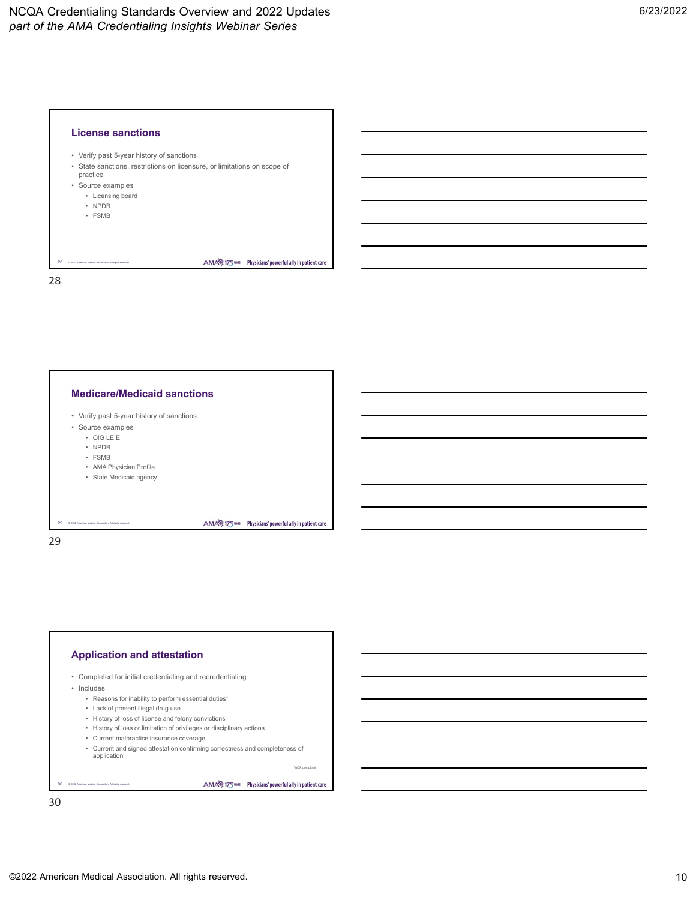



## **Application and attestation**

- Completed for initial credentialing and recredentialing
- Includes

© 2022 American Medical Association. All rights reserved.

- Reasons for inability to perform essential duties\*
- Lack of present illegal drug use
- History of loss of license and felony convictions
- History of loss or limitation of privileges or disciplinary actions
- Current malpractice insurance coverage
- Current and signed attestation confirming correctness and completeness of
	- application

#### AMA 175 TELES | Physicians' powerful ally in patient care

\*ADA compliant

30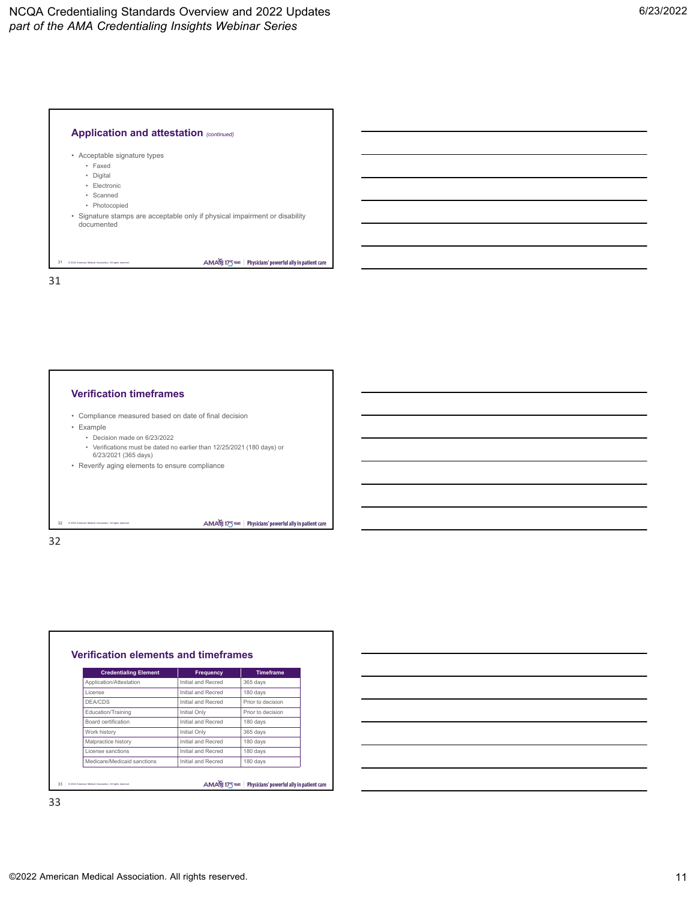

#### **Verification timeframes**

- Compliance measured based on date of final decision
- Example
	- Decision made on 6/23/2022
	- Verifications must be dated no earlier than 12/25/2021 (180 days) or

AMA 175 THIS | Physicians' powerful ally in patient care

6/23/2021 (365 days) • Reverify aging elements to ensure compliance

© 2022 American Medical Association. All rights reserved.

32

32

**Verification elements and timeframes Credentialing Element Frequency Timeframe** Application/Attestation Initial and Recred 365 days License Initial and Recred 180 days DEA/CDS Initial and Recred Prior to decision **Education/Training Community Initial Only Prior to decision** Board certification **Initial and Recred** 180 days Work history **Initial Only** 1065 days Malpractice history **Initial and Recred** 180 days License sanctions Initial and Recred 180 days Medicare/Medicaid sanctions Initial and Recred 180 days AMA 175 THIS | Physicians' powerful ally in patient care 33 © 2022 American Medical Association. All rights reserved.

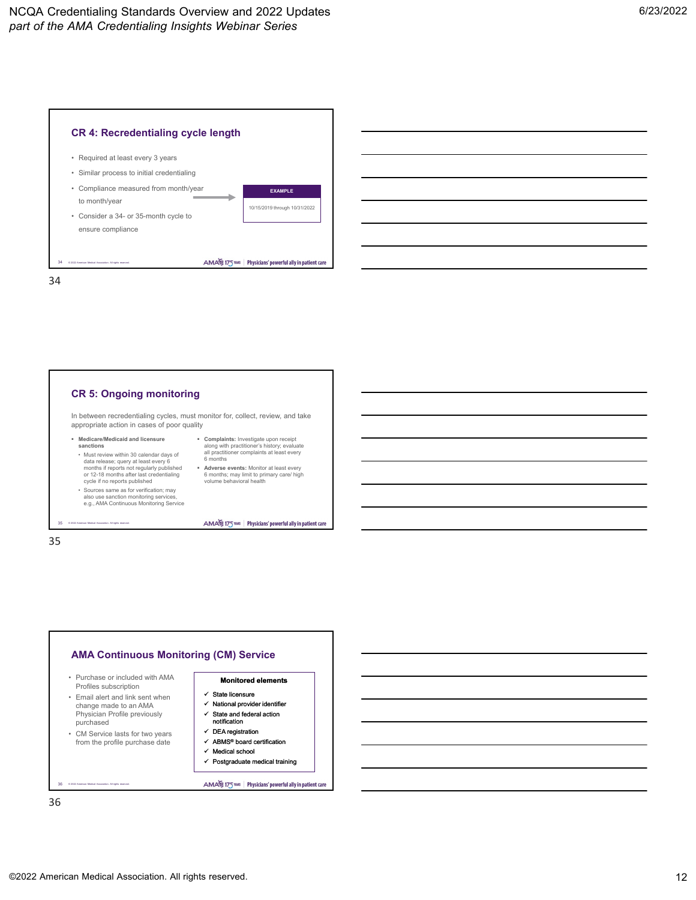



In between recredentialing cycles, must monitor for, collect, review, and take appropriate action in cases of poor quality

> **Complaints:** Investigate upon receipt along with practitioner's history; evaluate all practitioner complaints at least every 6 months **Adverse events:** Monitor at least every 6 months; may limit to primary care/ high volume behavioral health

AMA 175 TELE Physicians' powerful ally in patient care

- **Medicare/Medicaid and licensure sanctions**
- Must review within 30 calendar days of data release; query at least every 6 months if reports not regularly published or 12-18 months after last credentialing cycle if no reports published
- Sources same as for verification; may also use sanction monitoring services, e.g., AMA Continuous Monitoring Service

35 © 2022 American Medical Association. All rights reserved.

35

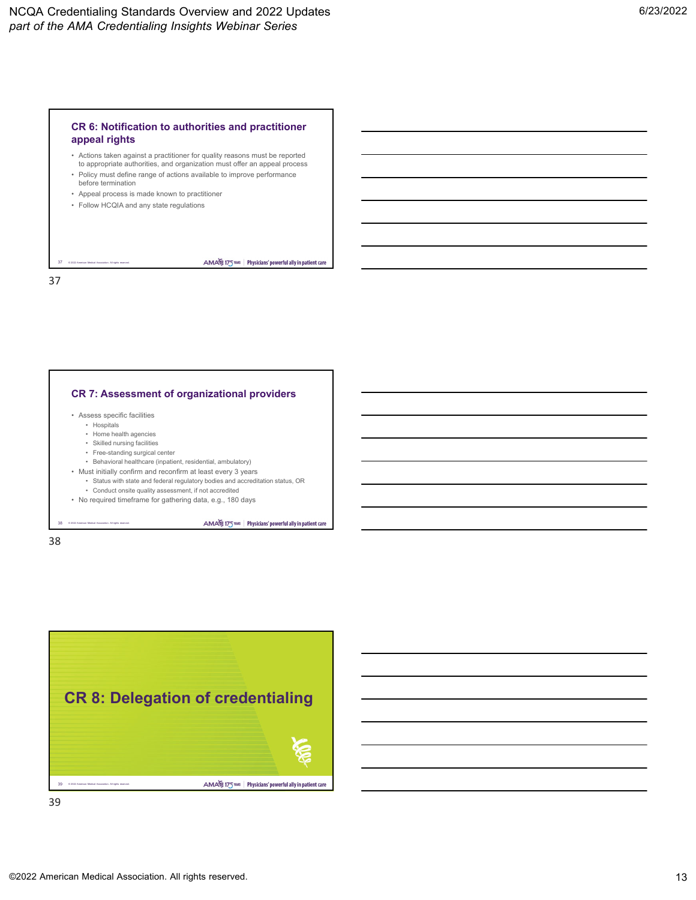## **CR 6: Notification to authorities and practitioner appeal rights**

- Actions taken against a practitioner for quality reasons must be reported to appropriate authorities, and organization must offer an appeal process
- Policy must define range of actions available to improve performance before termination
- Appeal process is made known to practitioner
- Follow HCQIA and any state regulations

© 2022 American Medical Association. All rights reserved.

37

**CR 7: Assessment of organizational providers** • Assess specific facilities • Hospitals • Home health agencies

• Skilled nursing facilities

© 2022 American Medical Association. All rights reserved.

- Free-standing surgical center
- Behavioral healthcare (inpatient, residential, ambulatory)
- Must initially confirm and reconfirm at least every 3 years
	- Status with state and federal regulatory bodies and accreditation status, OR • Conduct onsite quality assessment, if not accredited
- No required timeframe for gathering data, e.g., 180 days

AMA 175 THIS | Physicians' powerful ally in patient care

AMA 175 TELE Physicians' powerful ally in patient care

38

38

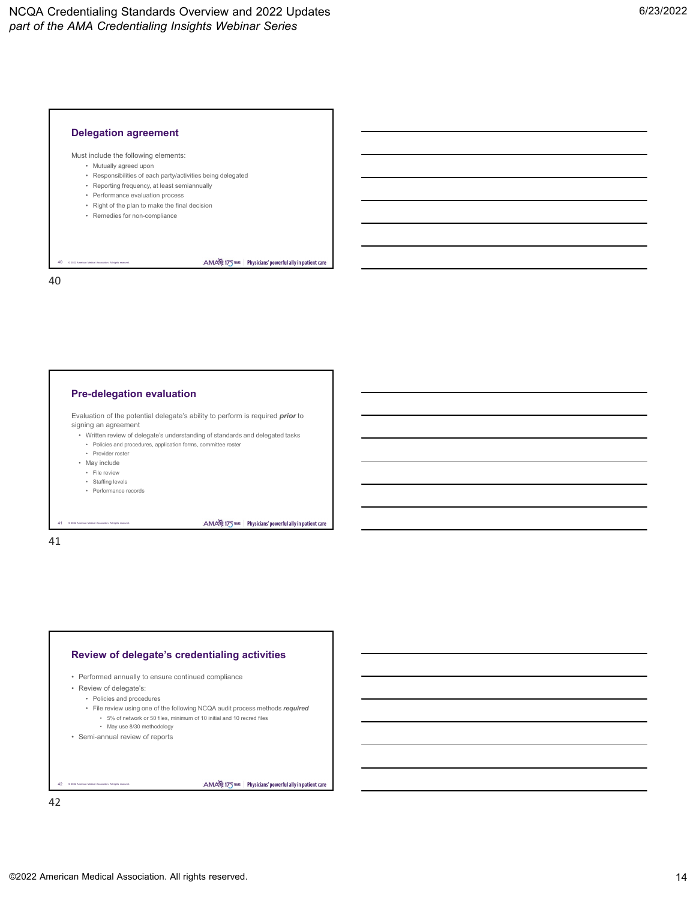

## Must include the following elements:

- Mutually agreed upon
- Responsibilities of each party/activities being delegated
- Reporting frequency, at least semiannually
- Performance evaluation process
- Right of the plan to make the final decision
- Remedies for non-compliance

© 2022 American Medical Association. All rights reserved.

AMA 175 TELE Physicians' powerful ally in patient care

40

40

#### **Pre-delegation evaluation**

Evaluation of the potential delegate's ability to perform is required *prior* to signing an agreement

• Written review of delegate's understanding of standards and delegated tasks • Policies and procedures, application forms, committee roster

- Provider roster
- May include
- File review
- Staffing levels
- Performance records

© 2022 American Medical Association. All rights reserved.

41 41

## **Review of delegate's credentialing activities**

- Performed annually to ensure continued compliance
- Review of delegate's:
	- Policies and procedures
	- File review using one of the following NCQA audit process methods *required*
		- 5% of network or 50 files, minimum of 10 initial and 10 recred files
		- May use 8/30 methodology
- Semi-annual review of reports

© 2022 American Medical Association. All rights reserved. 42

AMA 175 TELE Physicians' powerful ally in patient care

AMA 175 THE Physicians' powerful ally in patient care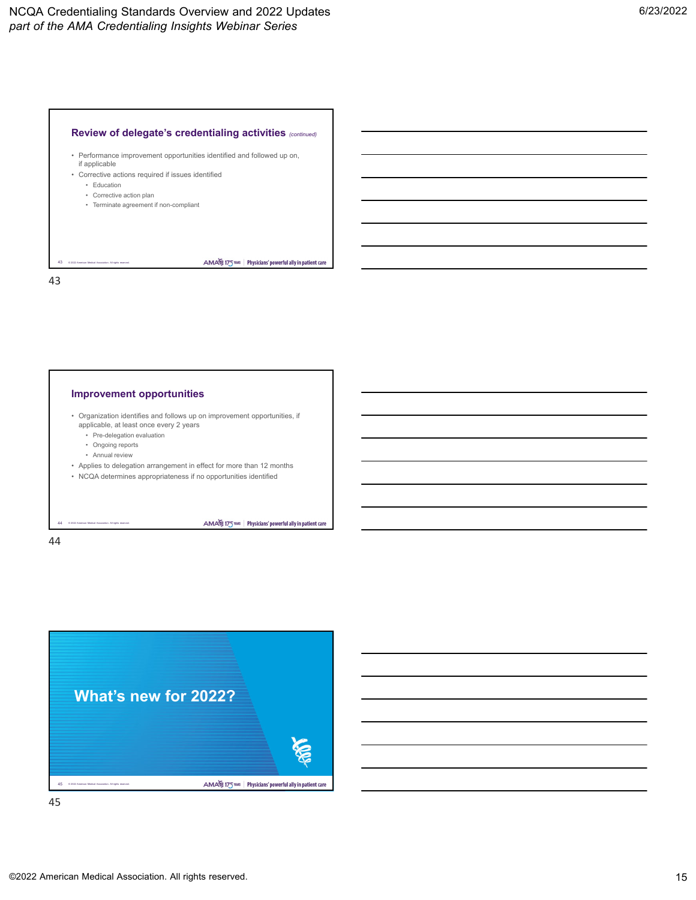#### **Review of delegate's credentialing activities** *(continued)*

• Performance improvement opportunities identified and followed up on, if applicable

AMA 175 TELE Physicians' powerful ally in patient care

AMA 175 THES Physicians' powerful ally in patient care

- Corrective actions required if issues identified • Education
	- Corrective action plan
	- Terminate agreement if non-compliant
- © 2022 American Medical Association. All rights reserved. 43

43

#### **Improvement opportunities**

- Organization identifies and follows up on improvement opportunities, if applicable, at least once every 2 years
	- Pre-delegation evaluation
	- Ongoing reports
	- Annual review
- Applies to delegation arrangement in effect for more than 12 months
- NCQA determines appropriateness if no opportunities identified

© 2022 American Medical Association. All rights reserved.

44

44

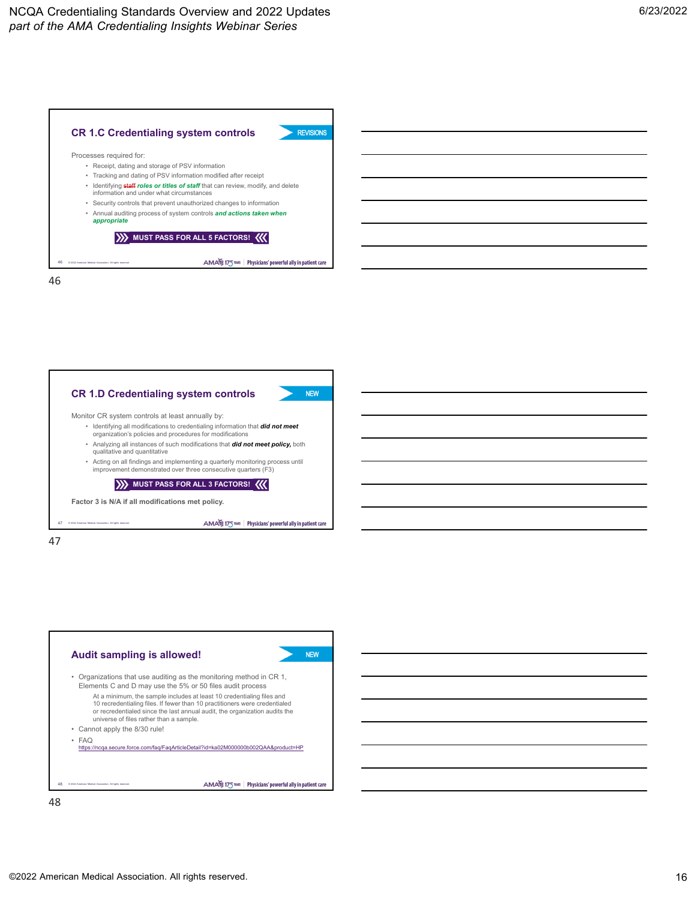



47

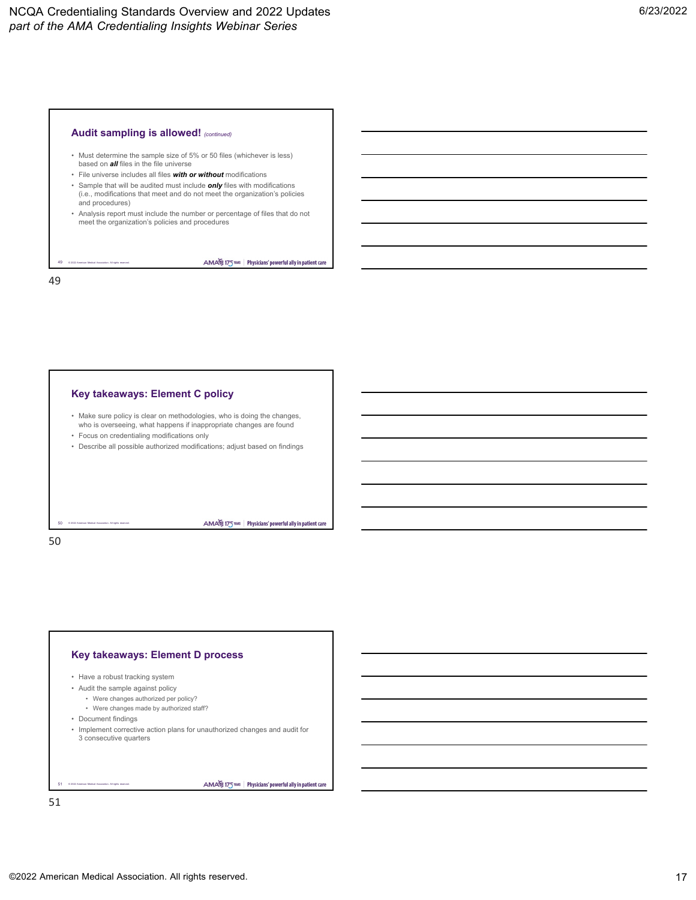## **Audit sampling is allowed!** *(continued)*

- Must determine the sample size of 5% or 50 files (whichever is less) based on *all* files in the file universe
- File universe includes all files *with or without* modifications
- Sample that will be audited must include *only* files with modifications (i.e., modifications that meet and do not meet the organization's policies and procedures)
- Analysis report must include the number or percentage of files that do not meet the organization's policies and procedures

AMA 175 TELE Physicians' powerful ally in patient care

© 2022 American Medical Association. All rights reserved. 49 49

#### **Key takeaways: Element C policy**

- Make sure policy is clear on methodologies, who is doing the changes, who is overseeing, what happens if inappropriate changes are found
- Focus on credentialing modifications only
- Describe all possible authorized modifications; adjust based on findings

AMA 175 THE Physicians' powerful ally in patient care

#### 50 50

## **Key takeaways: Element D process**

- Have a robust tracking system
- Audit the sample against policy
	- Were changes authorized per policy?
	- Were changes made by authorized staff?
- Document findings

© 2022 American Medical Association. All rights reserved.

• Implement corrective action plans for unauthorized changes and audit for 3 consecutive quarters

© 2022 American Medical Association. All rights reserved. 51

AMA 175 THE Physicians' powerful ally in patient care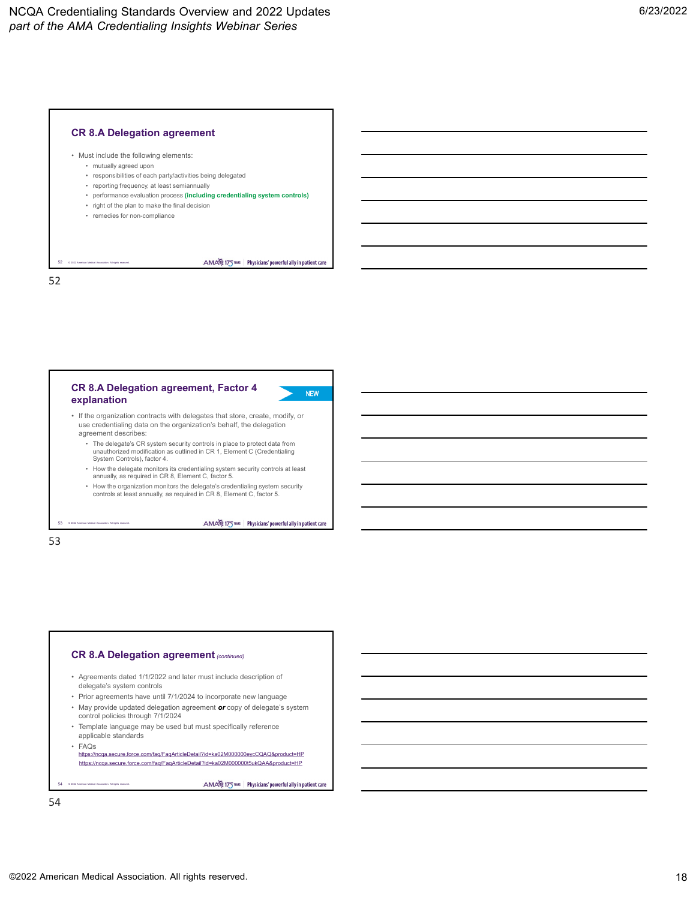#### **CR 8.A Delegation agreement**



- mutually agreed upon
- responsibilities of each party/activities being delegated
- reporting frequency, at least semiannually
- performance evaluation process **(including credentialing system controls)**
- right of the plan to make the final decision
- remedies for non-compliance

© 2022 American Medical Association. All rights reserved.

AMA 175 THIS Physicians' powerful ally in patient care

52

52

#### **CR 8.A Delegation agreement, Factor 4 explanation**



- If the organization contracts with delegates that store, create, modify, or use credentialing data on the organization's behalf, the delegation agreement describes:
	- The delegate's CR system security controls in place to protect data from unauthorized modification as outlined in CR 1, Element C (Credentialing System Controls), factor 4.
	- How the delegate monitors its credentialing system security controls at least annually, as required in CR 8, Element C, factor 5.
	- How the organization monitors the delegate's credentialing system security controls at least annually, as required in CR 8, Element C, factor 5.

AMA 175 TELE | Physicians' powerful ally in patient care

# 53 53

© 2022 American Medical Association. All rights reserved.

## **CR 8.A Delegation agreement***(continued)*

- Agreements dated 1/1/2022 and later must include description of delegate's system controls
- Prior agreements have until 7/1/2024 to incorporate new language
- May provide updated delegation agreement *or* copy of delegate's system control policies through 7/1/2024
- Template language may be used but must specifically reference applicable standards
- FAQs

© 2022 American Medical Association. All rights reserved.

<https://ncqa.secure.force.com/faq/FaqArticleDetail?id=ka02M000000eycCQAQ&product=HP> <https://ncqa.secure.force.com/faq/FaqArticleDetail?id=ka02M000000t5ukQAA&product=HP>

AMA 175 TELE Physicians' powerful ally in patient care

54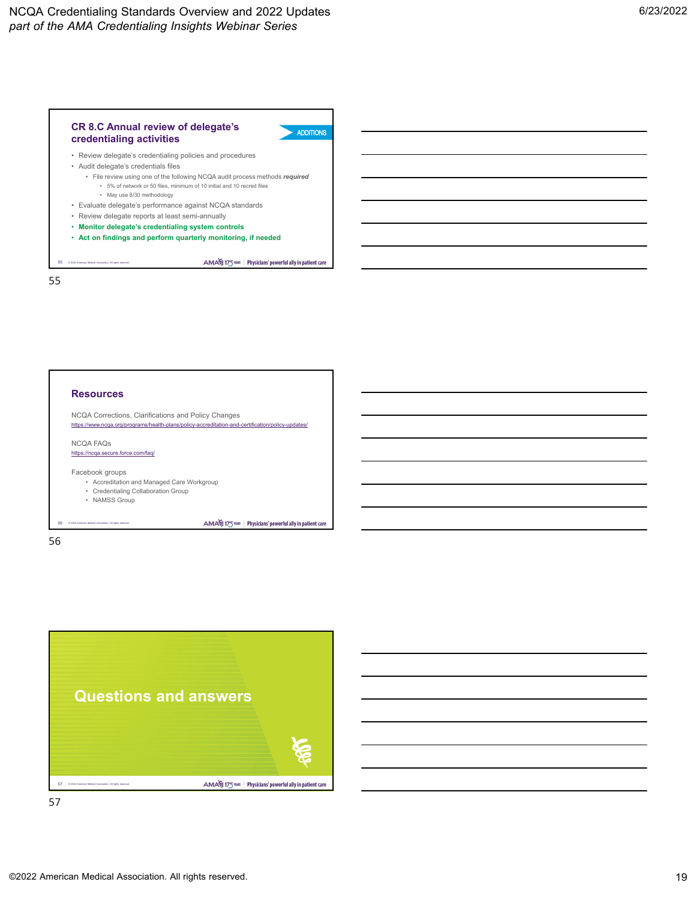